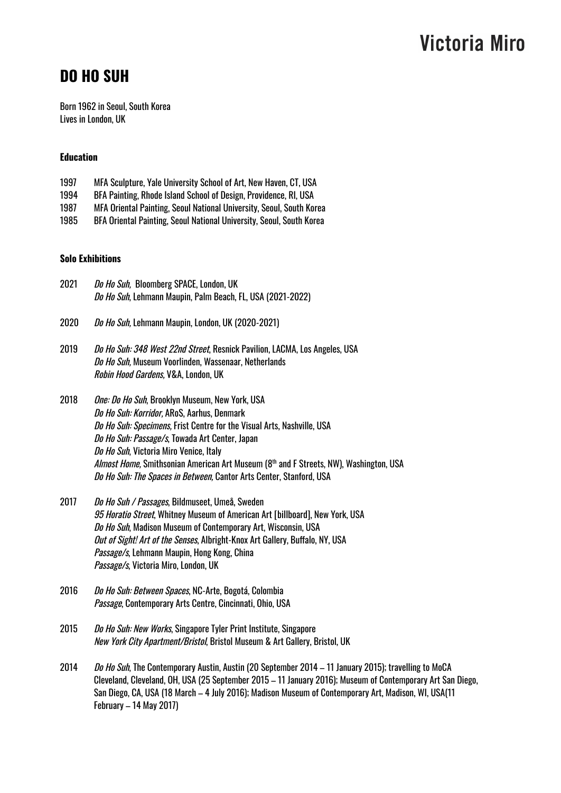### **DO HO SUH**

Born 1962 in Seoul, South Korea Lives in London, UK

#### **Education**

- 1997 MFA Sculpture, Yale University School of Art, New Haven, CT, USA
- 1994 BFA Painting, Rhode Island School of Design, Providence, RI, USA
- 1987 MFA Oriental Painting, Seoul National University, Seoul, South Korea
- 1985 BFA Oriental Painting, Seoul National University, Seoul, South Korea

#### **Solo Exhibitions**

- 2021 Do Ho Suh, Bloomberg SPACE, London, UK Do Ho Suh, Lehmann Maupin, Palm Beach, FL, USA (2021-2022)
- 2020 Do Ho Suh, Lehmann Maupin, London, UK (2020-2021)
- 2019 Do Ho Suh: 348 West 22nd Street, Resnick Pavilion, LACMA, Los Angeles, USA Do Ho Suh, Museum Voorlinden, Wassenaar, Netherlands Robin Hood Gardens, V&A, London, UK
- 2018 One: Do Ho Suh, Brooklyn Museum, New York, USA Do Ho Suh: Korridor, ARoS, Aarhus, Denmark Do Ho Suh: Specimens, Frist Centre for the Visual Arts, Nashville, USA Do Ho Suh: Passage/s, Towada Art Center, Japan Do Ho Suh, Victoria Miro Venice, Italy *Almost Home,* Smithsonian American Art Museum (8<sup>th</sup> and F Streets, NW), Washington, USA Do Ho Suh: The Spaces in Between, Cantor Arts Center, Stanford, USA
- 2017 Do Ho Suh / Passages, Bildmuseet, Umeå, Sweden 95 Horatio Street, Whitney Museum of American Art [billboard], New York, USA Do Ho Suh, Madison Museum of Contemporary Art, Wisconsin, USA Out of Sight! Art of the Senses, Albright-Knox Art Gallery, Buffalo, NY, USA Passage/s, Lehmann Maupin, Hong Kong, China Passage/s, Victoria Miro, London, UK
- 2016 Do Ho Suh: Between Spaces, NC-Arte, Bogotá, Colombia Passage, Contemporary Arts Centre, Cincinnati, Ohio, USA
- 2015 Do Ho Suh: New Works, Singapore Tyler Print Institute, Singapore New York City Apartment/Bristol, Bristol Museum & Art Gallery, Bristol, UK
- 2014 *Do Ho Suh*, The Contemporary Austin, Austin (20 September 2014 11 January 2015); travelling to MoCA Cleveland, Cleveland, OH, USA (25 September 2015 – 11 January 2016); Museum of Contemporary Art San Diego, San Diego, CA, USA (18 March – 4 July 2016); Madison Museum of Contemporary Art, Madison, WI, USA(11 February – 14 May 2017)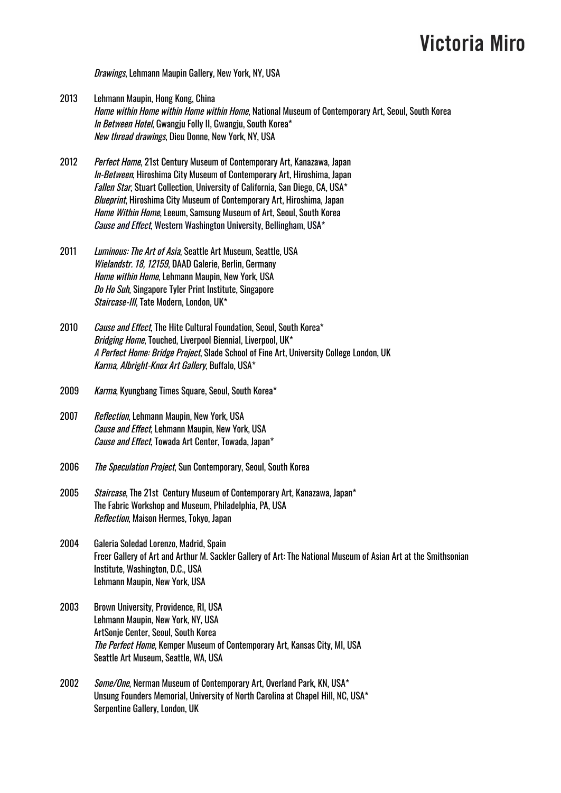Drawings, Lehmann Maupin Gallery, New York, NY, USA

- 2013 Lehmann Maupin, Hong Kong, China Home within Home within Home within Home, National Museum of Contemporary Art, Seoul, South Korea In Between Hotel, Gwangju Folly II, Gwangju, South Korea\* New thread drawings, Dieu Donne, New York, NY, USA
- 2012 Perfect Home, 21st Century Museum of Contemporary Art, Kanazawa, Japan In-Between, Hiroshima City Museum of Contemporary Art, Hiroshima, Japan Fallen Star, Stuart Collection, University of California, San Diego, CA, USA\* Blueprint, Hiroshima City Museum of Contemporary Art, Hiroshima, Japan Home Within Home, Leeum, Samsung Museum of Art, Seoul, South Korea Cause and Effect, Western Washington University, Bellingham, USA\*
- 2011 Luminous: The Art of Asia, Seattle Art Museum, Seattle, USA Wielandstr. 18, 12159, DAAD Galerie, Berlin, Germany Home within Home, Lehmann Maupin, New York, USA Do Ho Suh, Singapore Tyler Print Institute, Singapore Staircase-III, Tate Modern, London, UK\*
- 2010 Cause and Effect. The Hite Cultural Foundation, Seoul, South Korea\* Bridging Home, Touched, Liverpool Biennial, Liverpool, UK\* A Perfect Home: Bridge Project, Slade School of Fine Art, University College London, UK Karma, Albright-Knox Art Gallery, Buffalo, USA\*
- 2009 Karma, Kyungbang Times Square, Seoul, South Korea\*
- 2007 Reflection, Lehmann Maupin, New York, USA Cause and Effect, Lehmann Maupin, New York, USA Cause and Effect, Towada Art Center, Towada, Japan\*
- 2006 The Speculation Project, Sun Contemporary, Seoul, South Korea
- 2005 Staircase, The 21st Century Museum of Contemporary Art, Kanazawa, Japan\* The Fabric Workshop and Museum, Philadelphia, PA, USA Reflection, Maison Hermes, Tokyo, Japan
- 2004 Galeria Soledad Lorenzo, Madrid, Spain Freer Gallery of Art and Arthur M. Sackler Gallery of Art: The National Museum of Asian Art at the Smithsonian Institute, Washington, D.C., USA Lehmann Maupin, New York, USA
- 2003 Brown University, Providence, RI, USA Lehmann Maupin, New York, NY, USA ArtSonje Center, Seoul, South Korea The Perfect Home, Kemper Museum of Contemporary Art, Kansas City, MI, USA Seattle Art Museum, Seattle, WA, USA
- 2002 Some/One, Nerman Museum of Contemporary Art, Overland Park, KN, USA\* Unsung Founders Memorial, University of North Carolina at Chapel Hill, NC, USA\* Serpentine Gallery, London, UK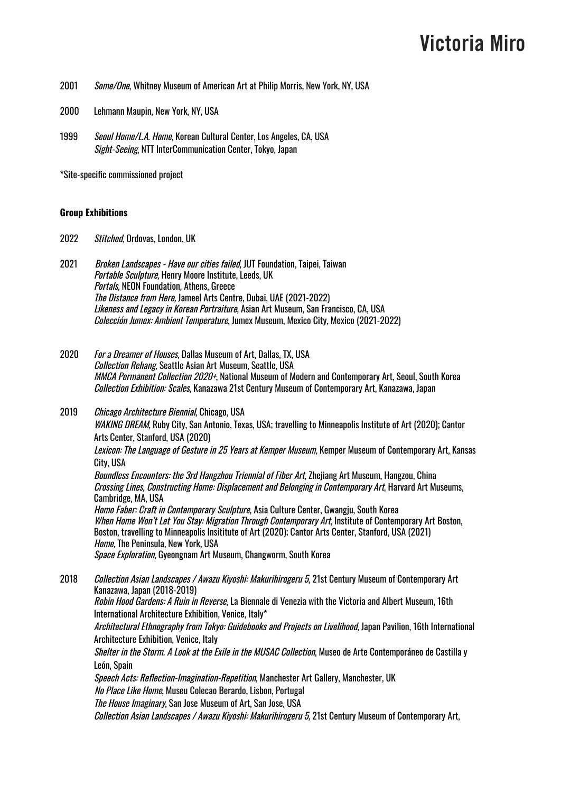- 2001 Some/One, Whitney Museum of American Art at Philip Morris, New York, NY, USA
- 2000 Lehmann Maupin, New York, NY, USA
- 1999 Seoul Home/L.A. Home, Korean Cultural Center, Los Angeles, CA, USA Sight-Seeing, NTT InterCommunication Center, Tokyo, Japan

\*Site-specific commissioned project

#### **Group Exhibitions**

2022 Stitched, Ordovas, London, UK

2021 Broken Landscapes - Have our cities failed, JUT Foundation, Taipei, Taiwan Portable Sculpture, Henry Moore Institute, Leeds, UK Portals, NEON Foundation, Athens, Greece The Distance from Here, Jameel Arts Centre, Dubai, UAE (2021-2022) Likeness and Legacy in Korean Portraiture, Asian Art Museum, San Francisco, CA, USA Colección Jumex: Ambient Temperature, Jumex Museum, Mexico City, Mexico (2021-2022)

- 2020 For a Dreamer of Houses, Dallas Museum of Art, Dallas, TX, USA Collection Rehang, Seattle Asian Art Museum, Seattle, USA MMCA Permanent Collection 2020+, National Museum of Modern and Contemporary Art, Seoul, South Korea Collection Exhibition: Scales, Kanazawa 21st Century Museum of Contemporary Art, Kanazawa, Japan
- 2019 Chicago Architecture Biennial, Chicago, USA WAKING DREAM, Ruby City, San Antonio, Texas, USA; travelling to Minneapolis Institute of Art (2020); Cantor Arts Center, Stanford, USA (2020) Lexicon: The Language of Gesture in 25 Years at Kemper Museum, Kemper Museum of Contemporary Art, Kansas

City, USA

Boundless Encounters: the 3rd Hangzhou Triennial of Fiber Art, Zhejiang Art Museum, Hangzou, China Crossing Lines, Constructing Home: Displacement and Belonging in Contemporary Art, Harvard Art Museums, Cambridge, MA, USA

Homo Faber: Craft in Contemporary Sculpture, Asia Culture Center, Gwangju, South Korea When Home Won't Let You Stay: Migration Through Contemporary Art, Institute of Contemporary Art Boston, Boston, travelling to Minneapolis Insititute of Art (2020); Cantor Arts Center, Stanford, USA (2021) Home, The Peninsula, New York, USA Space Exploration, Gyeongnam Art Museum, Changworm, South Korea

2018 *Collection Asian Landscapes / Awazu Kiyoshi: Makurihirogeru 5*, 21st Century Museum of Contemporary Art Kanazawa, Japan (2018-2019) Robin Hood Gardens: A Ruin in Reverse, La Biennale di Venezia with the Victoria and Albert Museum, 16th International Architecture Exhibition, Venice, Italy\* Architectural Ethnography from Tokyo: Guidebooks and Projects on Livelihood, Japan Pavilion, 16th International Architecture Exhibition, Venice, Italy Shelter in the Storm. A Look at the Exile in the MUSAC Collection, Museo de Arte Contemporáneo de Castilla y León, Spain Speech Acts: Reflection-Imagination-Repetition, Manchester Art Gallery, Manchester, UK No Place Like Home, Museu Colecao Berardo, Lisbon, Portugal The House Imaginary, San Jose Museum of Art, San Jose, USA

Collection Asian Landscapes / Awazu Kiyoshi: Makurihirogeru 5, 21st Century Museum of Contemporary Art,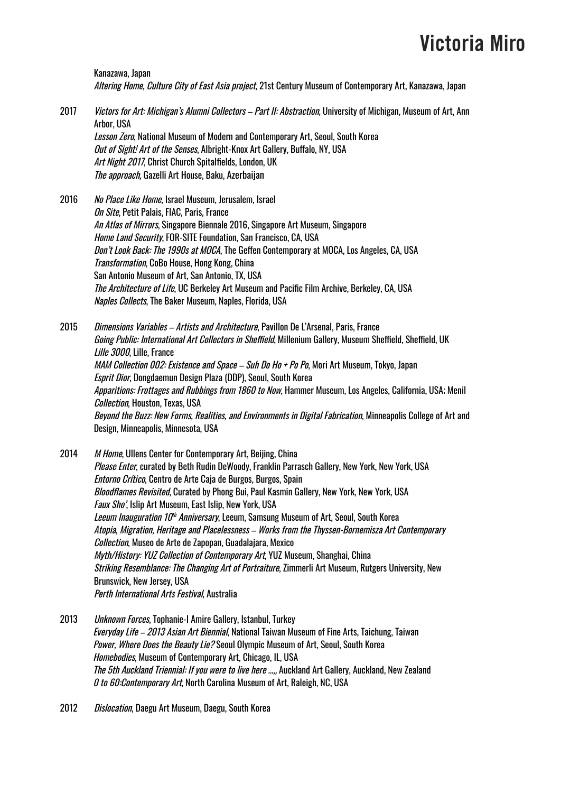Kanazawa, Japan Altering Home, Culture City of East Asia project, 21st Century Museum of Contemporary Art, Kanazawa, Japan

- 2017 *Victors for Art: Michigan's Alumni Collectors Part II: Abstraction*, University of Michigan, Museum of Art, Ann Arbor, USA Lesson Zero, National Museum of Modern and Contemporary Art, Seoul, South Korea Out of Sight! Art of the Senses, Albright-Knox Art Gallery, Buffalo, NY, USA Art Night 2017, Christ Church Spitalfields, London, UK The approach, Gazelli Art House, Baku, Azerbaijan
- 2016 No Place Like Home, Israel Museum, Jerusalem, Israel On Site, Petit Palais, FIAC, Paris, France An Atlas of Mirrors, Singapore Biennale 2016, Singapore Art Museum, Singapore Home Land Security, FOR-SITE Foundation, San Francisco, CA, USA Don't Look Back: The 1990s at MOCA, The Geffen Contemporary at MOCA, Los Angeles, CA, USA Transformation, CoBo House, Hong Kong, China San Antonio Museum of Art, San Antonio, TX, USA The Architecture of Life, UC Berkeley Art Museum and Pacific Film Archive, Berkeley, CA, USA Naples Collects, The Baker Museum, Naples, Florida, USA

2015 *Dimensions Variables – Artists and Architecture*, Pavillon De L'Arsenal, Paris, France Going Public: International Art Collectors in Sheffield, Millenium Gallery, Museum Sheffield, Sheffield, UK Lille 3000, Lille, France MAM Collection 002: Existence and Space - Suh Do Ho + Po Po, Mori Art Museum, Tokyo, Japan Esprit Dior, Dongdaemun Design Plaza (DDP), Seoul, South Korea Apparitions: Frottages and Rubbings from 1860 to Now, Hammer Museum, Los Angeles, California, USA; Menil Collection, Houston, Texas, USA Beyond the Buzz: New Forms, Realities, and Environments in Digital Fabrication, Minneapolis College of Art and Design, Minneapolis, Minnesota, USA

2014 M Home, Ullens Center for Contemporary Art, Beijing, China Please Enter, curated by Beth Rudin DeWoody, Franklin Parrasch Gallery, New York, New York, USA Entorno Crítico, Centro de Arte Caja de Burgos, Burgos, Spain Bloodflames Revisited, Curated by Phong Bui, Paul Kasmin Gallery, New York, New York, USA Faux Sho', Islip Art Museum, East Islip, New York, USA *Leeum Inauguration 10<sup>th</sup> Anniversary*, Leeum, Samsung Museum of Art, Seoul, South Korea Atopia, Migration, Heritage and Placelessness – Works from the Thyssen-Bornemisza Art Contemporary Collection, Museo de Arte de Zapopan, Guadalajara, Mexico Myth/History: YUZ Collection of Contemporary Art, YUZ Museum, Shanghai, China Striking Resemblance: The Changing Art of Portraiture, Zimmerli Art Museum, Rutgers University, New Brunswick, New Jersey, USA Perth International Arts Festival, Australia

- 2013 Unknown Forces, Tophanie-I Amire Gallery, Istanbul, Turkey Everyday Life – 2013 Asian Art Biennial, National Taiwan Museum of Fine Arts, Taichung, Taiwan Power, Where Does the Beauty Lie? Seoul Olympic Museum of Art, Seoul, South Korea Homebodies, Museum of Contemporary Art, Chicago, IL, USA The 5th Auckland Triennial: If you were to live here …,, Auckland Art Gallery, Auckland, New Zealand 0 to 60:Contemporary Art, North Carolina Museum of Art, Raleigh, NC, USA
- 2012 *Dislocation*, Daegu Art Museum, Daegu, South Korea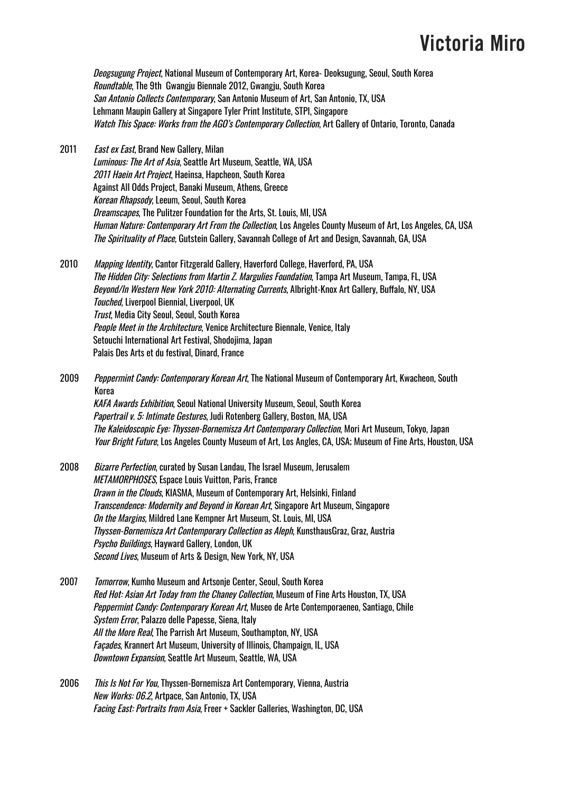Deogsugung Project, National Museum of Contemporary Art, Korea- Deoksugung, Seoul, South Korea Roundtable, The 9th Gwangju Biennale 2012, Gwangju, South Korea San Antonio Collects Contemporary, San Antonio Museum of Art, San Antonio, TX, USA Lehmann Maupin Gallery at Singapore Tyler Print Institute, STPI, Singapore Watch This Space: Works from the AGO's Contemporary Collection, Art Gallery of Ontario, Toronto, Canada

2011 East ex East, Brand New Gallery, Milan Luminous: The Art of Asia, Seattle Art Museum, Seattle, WA, USA 2011 Haein Art Project, Haeinsa, Hapcheon, South Korea Against All Odds Project, Banaki Museum, Athens, Greece Korean Rhapsody, Leeum, Seoul, South Korea Dreamscapes, The Pulitzer Foundation for the Arts, St. Louis, MI, USA Human Nature: Contemporary Art From the Collection, Los Angeles County Museum of Art, Los Angeles, CA, USA The Spirituality of Place, Gutstein Gallery, Savannah College of Art and Design, Savannah, GA, USA

2010 Mapping Identity, Cantor Fitzgerald Gallery, Haverford College, Haverford, PA, USA The Hidden City: Selections from Martin Z. Margulies Foundation, Tampa Art Museum, Tampa, FL, USA Beyond/In Western New York 2010: Alternating Currents, Albright-Knox Art Gallery, Buffalo, NY, USA Touched, Liverpool Biennial, Liverpool, UK Trust, Media City Seoul, Seoul, South Korea People Meet in the Architecture, Venice Architecture Biennale, Venice, Italy Setouchi International Art Festival, Shodojima, Japan Palais Des Arts et du festival, Dinard, France

2009 Peppermint Candy: Contemporary Korean Art, The National Museum of Contemporary Art, Kwacheon, South Korea KAFA Awards Exhibition, Seoul National University Museum, Seoul, South Korea Papertrail v. 5: Intimate Gestures, Judi Rotenberg Gallery, Boston, MA, USA The Kaleidoscopic Eye: Thyssen-Bornemisza Art Contemporary Collection, Mori Art Museum, Tokyo, Japan Your Bright Future, Los Angeles County Museum of Art, Los Angles, CA, USA; Museum of Fine Arts, Houston, USA

- 2008 Bizarre Perfection, curated by Susan Landau, The Israel Museum, Jerusalem METAMORPHOSES, Espace Louis Vuitton, Paris, France Drawn in the Clouds, KIASMA, Museum of Contemporary Art, Helsinki, Finland Transcendence: Modernity and Beyond in Korean Art, Singapore Art Museum, Singapore On the Margins, Mildred Lane Kempner Art Museum, St. Louis, MI, USA Thyssen-Bornemisza Art Contemporary Collection as Aleph, KunsthausGraz, Graz, Austria Psycho Buildings, Hayward Gallery, London, UK Second Lives, Museum of Arts & Design, New York, NY, USA
- 2007 *Tomorrow*, Kumho Museum and Artsonje Center, Seoul, South Korea Red Hot: Asian Art Today from the Chaney Collection, Museum of Fine Arts Houston, TX, USA Peppermint Candy: Contemporary Korean Art, Museo de Arte Contemporaeneo, Santiago, Chile System Error, Palazzo delle Papesse, Siena, Italy All the More Real, The Parrish Art Museum, Southampton, NY, USA Façades, Krannert Art Museum, University of Illinois, Champaign, IL, USA Downtown Expansion, Seattle Art Museum, Seattle, WA, USA
- 2006 *This Is Not For You*, Thyssen-Bornemisza Art Contemporary, Vienna, Austria New Works: 06.2, Artpace, San Antonio, TX, USA Facing East: Portraits from Asia, Freer + Sackler Galleries, Washington, DC, USA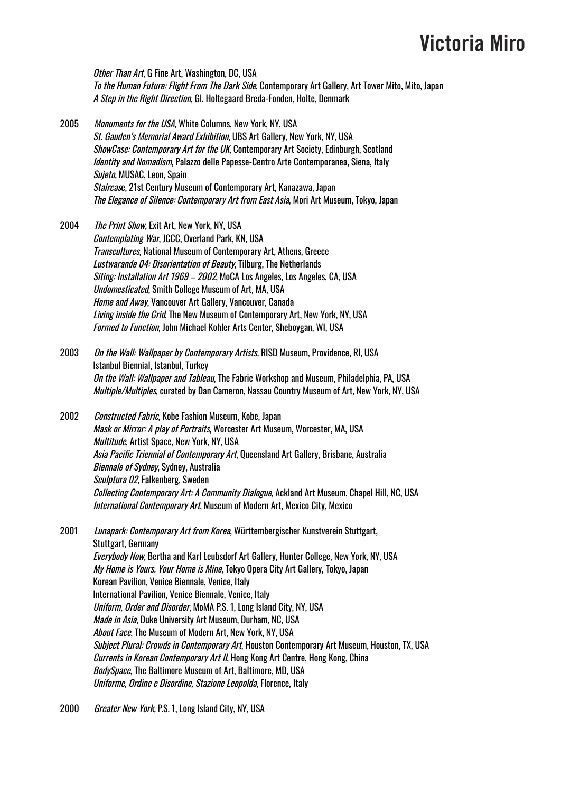Other Than Art, G Fine Art, Washington, DC, USA To the Human Future: Flight From The Dark Side, Contemporary Art Gallery, Art Tower Mito, Mito, Japan A Step in the Right Direction, Gl. Holtegaard Breda-Fonden, Holte, Denmark

- 2005 Monuments for the USA, White Columns, New York, NY, USA St. Gauden's Memorial Award Exhibition, UBS Art Gallery, New York, NY, USA ShowCase: Contemporary Art for the UK, Contemporary Art Society, Edinburgh, Scotland Identity and Nomadism, Palazzo delle Papesse-Centro Arte Contemporanea, Siena, Italy Sujeto, MUSAC, Leon, Spain Staircase, 21st Century Museum of Contemporary Art, Kanazawa, Japan The Elegance of Silence: Contemporary Art from East Asia, Mori Art Museum, Tokyo, Japan
- 2004 The Print Show, Exit Art, New York, NY, USA Contemplating War, JCCC, Overland Park, KN, USA Transcultures, National Museum of Contemporary Art, Athens, Greece Lustwarande 04: Disorientation of Beauty, Tilburg, The Netherlands Siting: Installation Art 1969 – 2002, MoCA Los Angeles, Los Angeles, CA, USA Undomesticated, Smith College Museum of Art, MA, USA Home and Away, Vancouver Art Gallery, Vancouver, Canada Living inside the Grid, The New Museum of Contemporary Art, New York, NY, USA Formed to Function, John Michael Kohler Arts Center, Sheboygan, WI, USA
- 2003 On the Wall: Wallpaper by Contemporary Artists, RISD Museum, Providence, RI, USA Istanbul Biennial, Istanbul, Turkey On the Wall: Wallpaper and Tableau, The Fabric Workshop and Museum, Philadelphia, PA, USA Multiple/Multiples, curated by Dan Cameron, Nassau Country Museum of Art, New York, NY, USA
- 2002 Constructed Fabric, Kobe Fashion Museum, Kobe, Japan Mask or Mirror: A play of Portraits, Worcester Art Museum, Worcester, MA, USA Multitude, Artist Space, New York, NY, USA Asia Pacific Triennial of Contemporary Art, Queensland Art Gallery, Brisbane, Australia Biennale of Sydney, Sydney, Australia Sculptura 02, Falkenberg, Sweden Collecting Contemporary Art: A Community Dialogue, Ackland Art Museum, Chapel Hill, NC, USA International Contemporary Art, Museum of Modern Art, Mexico City, Mexico

2001 Lunapark: Contemporary Art from Korea, Württembergischer Kunstverein Stuttgart, Stuttgart, Germany Everybody Now, Bertha and Karl Leubsdorf Art Gallery, Hunter College, New York, NY, USA My Home is Yours. Your Home is Mine, Tokyo Opera City Art Gallery, Tokyo, Japan Korean Pavilion, Venice Biennale, Venice, Italy International Pavilion, Venice Biennale, Venice, Italy Uniform, Order and Disorder, MoMA P.S. 1, Long Island City, NY, USA Made in Asia, Duke University Art Museum, Durham, NC, USA About Face, The Museum of Modern Art, New York, NY, USA Subject Plural: Crowds in Contemporary Art, Houston Contemporary Art Museum, Houston, TX, USA Currents in Korean Contemporary Art II, Hong Kong Art Centre, Hong Kong, China BodySpace, The Baltimore Museum of Art, Baltimore, MD, USA Uniforme, Ordine <sup>e</sup> Disordine, Stazione Leopolda, Florence, Italy

2000 Greater New York, P.S. 1, Long Island City, NY, USA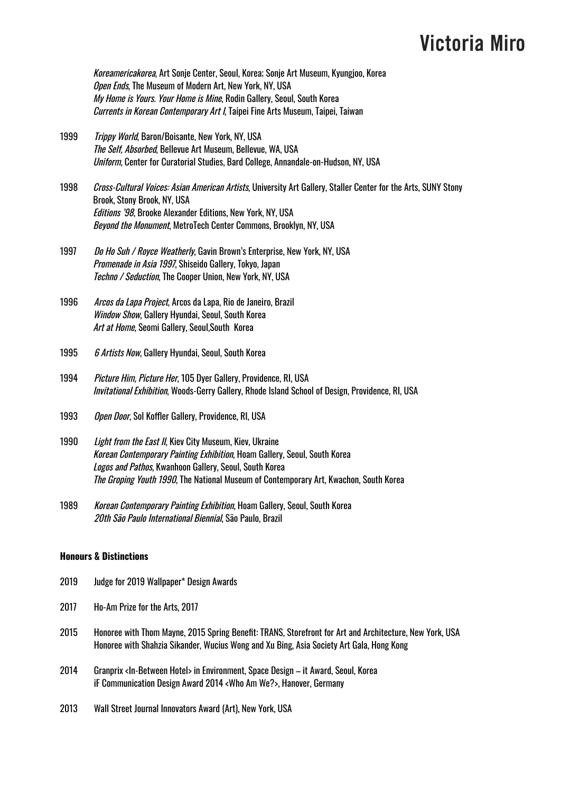Koreamericakorea, Art Sonje Center, Seoul, Korea; Sonje Art Museum, Kyungjoo, Korea Open Ends, The Museum of Modern Art, New York, NY, USA My Home is Yours. Your Home is Mine, Rodin Gallery, Seoul, South Korea Currents in Korean Contemporary Art I, Taipei Fine Arts Museum, Taipei, Taiwan

- 1999 Trippy World, Baron/Boisante, New York, NY, USA The Self, Absorbed, Bellevue Art Museum, Bellevue, WA, USA Uniform, Center for Curatorial Studies, Bard College, Annandale-on-Hudson, NY, USA
- 1998 *Cross-Cultural Voices: Asian American Artists*, University Art Gallery, Staller Center for the Arts, SUNY Stony Brook, Stony Brook, NY, USA Editions '98, Brooke Alexander Editions, New York, NY, USA Beyond the Monument, MetroTech Center Commons, Brooklyn, NY, USA
- 1997 Do Ho Suh / Royce Weatherly, Gavin Brown's Enterprise, New York, NY, USA Promenade in Asia 1997, Shiseido Gallery, Tokyo, Japan Techno / Seduction, The Cooper Union, New York, NY, USA
- 1996 Arcos da Lapa Project, Arcos da Lapa, Rio de Janeiro, Brazil Window Show, Gallery Hyundai, Seoul, South Korea Art at Home, Seomi Gallery, Seoul, South Korea
- 1995 6 Artists Now, Gallery Hyundai, Seoul, South Korea
- 1994 Picture Him, Picture Her, 105 Dyer Gallery, Providence, RI, USA Invitational Exhibition, Woods-Gerry Gallery, Rhode Island School of Design, Providence, RI, USA
- 1993 Open Door, Sol Koffler Gallery, Providence, RI, USA
- 1990 Light from the East II, Kiev City Museum, Kiev, Ukraine Korean Contemporary Painting Exhibition, Hoam Gallery, Seoul, South Korea Logos and Pathos, Kwanhoon Gallery, Seoul, South Korea The Groping Youth 1990, The National Museum of Contemporary Art, Kwachon, South Korea
- 1989 Korean Contemporary Painting Exhibition, Hoam Gallery, Seoul, South Korea 20th São Paulo International Biennial, São Paulo, Brazil

#### **Honours & Distinctions**

- 2019 Judge for 2019 Wallpaper\* Design Awards
- 2017 Ho-Am Prize for the Arts, 2017
- 2015 Honoree with Thom Mayne, 2015 Spring Benefit: TRANS, Storefront for Art and Architecture, New York, USA Honoree with Shahzia Sikander, Wucius Wong and Xu Bing, Asia Society Art Gala, Hong Kong
- 2014 Granprix <In-Between Hotel> in Environment, Space Design it Award, Seoul, Korea iF Communication Design Award 2014 <Who Am We?>, Hanover, Germany
- 2013 Wall Street Journal Innovators Award (Art), New York, USA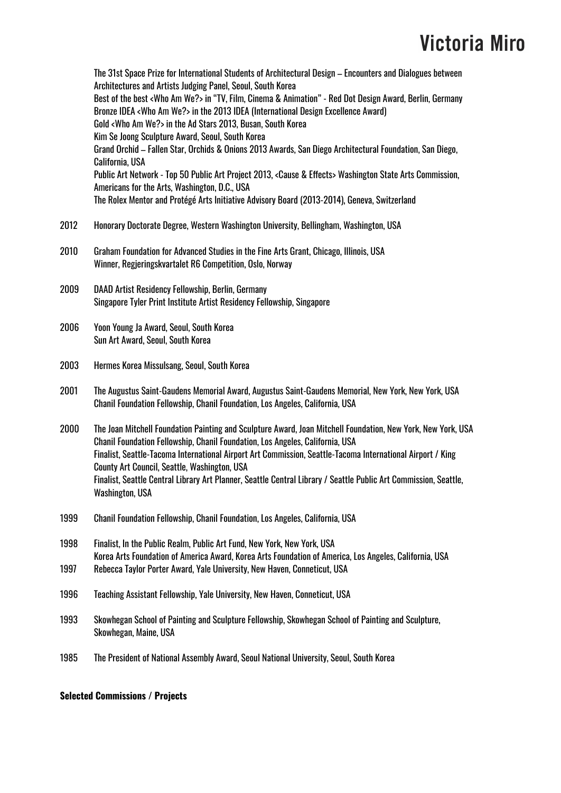The 31st Space Prize for International Students of Architectural Design – Encounters and Dialogues between Architectures and Artists Judging Panel, Seoul, South Korea Best of the best <Who Am We?> in "TV, Film, Cinema & Animation" - Red Dot Design Award, Berlin, Germany Bronze IDEA <Who Am We?> in the 2013 IDEA (International Design Excellence Award) Gold <Who Am We?> in the Ad Stars 2013, Busan, South Korea Kim Se Joong Sculpture Award, Seoul, South Korea Grand Orchid – Fallen Star, Orchids & Onions 2013 Awards, San Diego Architectural Foundation, San Diego, California, USA Public Art Network - Top 50 Public Art Project 2013, <Cause & Effects> Washington State Arts Commission, Americans for the Arts, Washington, D.C., USA The Rolex Mentor and Protégé Arts Initiative Advisory Board (2013-2014), Geneva, Switzerland 2012 Honorary Doctorate Degree, Western Washington University, Bellingham, Washington, USA 2010 Graham Foundation for Advanced Studies in the Fine Arts Grant, Chicago, Illinois, USA Winner, Regjeringskvartalet R6 Competition, Oslo, Norway 2009 DAAD Artist Residency Fellowship, Berlin, Germany Singapore Tyler Print Institute Artist Residency Fellowship, Singapore 2006 Yoon Young Ja Award, Seoul, South Korea Sun Art Award, Seoul, South Korea 2003 Hermes Korea Missulsang, Seoul, South Korea 2001 The Augustus Saint-Gaudens Memorial Award, Augustus Saint-Gaudens Memorial, New York, New York, USA Chanil Foundation Fellowship, Chanil Foundation, Los Angeles, California, USA 2000 The Joan Mitchell Foundation Painting and Sculpture Award, Joan Mitchell Foundation, New York, New York, USA Chanil Foundation Fellowship, Chanil Foundation, Los Angeles, California, USA Finalist, Seattle-Tacoma International Airport Art Commission, Seattle-Tacoma International Airport / King County Art Council, Seattle, Washington, USA Finalist, Seattle Central Library Art Planner, Seattle Central Library / Seattle Public Art Commission, Seattle, Washington, USA 1999 Chanil Foundation Fellowship, Chanil Foundation, Los Angeles, California, USA 1998 Finalist, In the Public Realm, Public Art Fund, New York, New York, USA Korea Arts Foundation of America Award, Korea Arts Foundation of America, Los Angeles, California, USA 1997 Rebecca Taylor Porter Award, Yale University, New Haven, Conneticut, USA 1996 Teaching Assistant Fellowship, Yale University, New Haven, Conneticut, USA 1993 Skowhegan School of Painting and Sculpture Fellowship, Skowhegan School of Painting and Sculpture, Skowhegan, Maine, USA 1985 The President of National Assembly Award, Seoul National University, Seoul, South Korea

#### **Selected Commissions / Projects**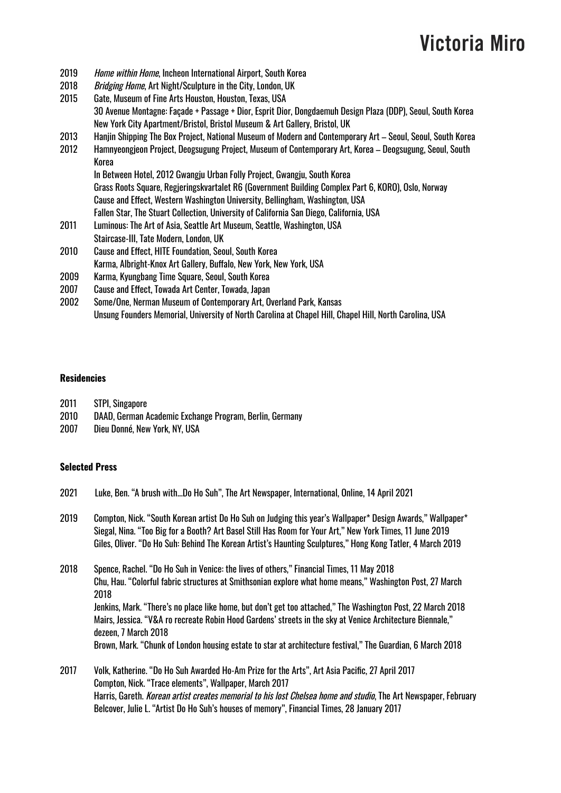- 2019 Home within Home, Incheon International Airport, South Korea
- 2018 Bridging Home, Art Night/Sculpture in the City, London, UK
- 2015 Gate, Museum of Fine Arts Houston, Houston, Texas, USA 30 Avenue Montagne: Façade + Passage + Dior, Esprit Dior, Dongdaemuh Design Plaza (DDP), Seoul, South Korea New York City Apartment/Bristol, Bristol Museum & Art Gallery, Bristol, UK
- 2013 Hanjin Shipping The Box Project, National Museum of Modern and Contemporary Art Seoul, Seoul, South Korea
- 2012 Hamnyeongjeon Project, Deogsugung Project, Museum of Contemporary Art, Korea Deogsugung, Seoul, South Korea

In Between Hotel, 2012 Gwangju Urban Folly Project, Gwangju, South Korea Grass Roots Square, Regjeringskvartalet R6 (Government Building Complex Part 6, KORO), Oslo, Norway Cause and Effect, Western Washington University, Bellingham, Washington, USA Fallen Star, The Stuart Collection, University of California San Diego, California, USA

- 2011 Luminous: The Art of Asia, Seattle Art Museum, Seattle, Washington, USA Staircase-III, Tate Modern, London, UK
- 2010 Cause and Effect, HITE Foundation, Seoul, South Korea
- Karma, Albright-Knox Art Gallery, Buffalo, New York, New York, USA
- 2009 Karma, Kyungbang Time Square, Seoul, South Korea
- 2007 Cause and Effect, Towada Art Center, Towada, Japan
- 2002 Some/One, Nerman Museum of Contemporary Art, Overland Park, Kansas Unsung Founders Memorial, University of North Carolina at Chapel Hill, Chapel Hill, North Carolina, USA

#### **Residencies**

- 2011 STPI, Singapore
- 2010 DAAD, German Academic Exchange Program, Berlin, Germany
- 2007 Dieu Donné, New York, NY, USA

#### **Selected Press**

- 2021 Luke, Ben. "A brush with...Do Ho Suh", The Art Newspaper, International, Online, 14 April 2021
- 2019 Compton, Nick. "South Korean artist Do Ho Suh on Judging this year's Wallpaper\* Design Awards," Wallpaper\* Siegal, Nina. "Too Big for a Booth? Art Basel Still Has Room for Your Art," New York Times, 11 June 2019 Giles, Oliver. "Do Ho Suh: Behind The Korean Artist's Haunting Sculptures," Hong Kong Tatler, 4 March 2019
- 2018 Spence, Rachel. "Do Ho Suh in Venice: the lives of others," Financial Times, 11 May 2018 Chu, Hau. "Colorful fabric structures at Smithsonian explore what home means," Washington Post, 27 March 2018 Jenkins, Mark. "There's no place like home, but don't get too attached," The Washington Post, 22 March 2018 Mairs, Jessica. "V&A ro recreate Robin Hood Gardens' streets in the sky at Venice Architecture Biennale," dezeen, 7 March 2018 Brown, Mark. "Chunk of London housing estate to star at architecture festival," The Guardian, 6 March 2018
- 2017 Volk, Katherine. "Do Ho Suh Awarded Ho-Am Prize for the Arts", Art Asia Pacific, 27 April 2017 Compton, Nick. "Trace elements", Wallpaper, March 2017 Harris, Gareth. Korean artist creates memorial to his lost Chelsea home and studio, The Art Newspaper, February Belcover, Julie L. "Artist Do Ho Suh's houses of memory", Financial Times, 28 January 2017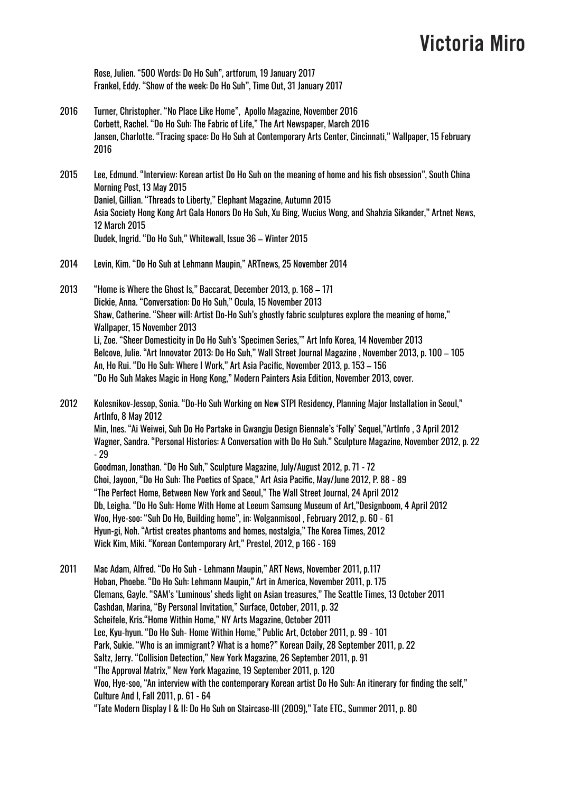Rose, Julien. "500 Words: Do Ho Suh", artforum, 19 January 2017 Frankel, Eddy. "Show of the week: Do Ho Suh", Time Out, 31 January 2017

- 2016 Turner, Christopher. "No Place Like Home", Apollo Magazine, November 2016 Corbett, Rachel. "Do Ho Suh: The Fabric of Life," The Art Newspaper, March 2016 Jansen, Charlotte. "Tracing space: Do Ho Suh at Contemporary Arts Center, Cincinnati," Wallpaper, 15 February 2016
- 2015 Lee, Edmund. "Interview: Korean artist Do Ho Suh on the meaning of home and his fish obsession", South China Morning Post, 13 May 2015 Daniel, Gillian. "Threads to Liberty," Elephant Magazine, Autumn 2015 Asia Society Hong Kong Art Gala Honors Do Ho Suh, Xu Bing, Wucius Wong, and Shahzia Sikander," Artnet News, 12 March 2015 Dudek, Ingrid. "Do Ho Suh," Whitewall, Issue 36 – Winter 2015
- 2014 Levin, Kim. "Do Ho Suh at Lehmann Maupin," ARTnews, 25 November 2014
- 2013 "Home is Where the Ghost Is," Baccarat, December 2013, p. 168 171 Dickie, Anna. "Conversation: Do Ho Suh," Ocula, 15 November 2013 Shaw, Catherine. "Sheer will: Artist Do-Ho Suh's ghostly fabric sculptures explore the meaning of home," Wallpaper, 15 November 2013 Li, Zoe. "Sheer Domesticity in Do Ho Suh's 'Specimen Series,'" Art Info Korea, 14 November 2013 Belcove, Julie. "Art Innovator 2013: Do Ho Suh," Wall Street Journal Magazine , November 2013, p. 100 – 105 An, Ho Rui. "Do Ho Suh: Where I Work," Art Asia Pacific, November 2013, p. 153 – 156 "Do Ho Suh Makes Magic in Hong Kong," Modern Painters Asia Edition, November 2013, cover.
- 2012 Kolesnikov-Jessop, Sonia. "Do-Ho Suh Working on New STPI Residency, Planning Major Installation in Seoul," ArtInfo, 8 May 2012 Min, Ines. "Ai Weiwei, Suh Do Ho Partake in Gwangju Design Biennale's 'Folly' Sequel,"ArtInfo , 3 April 2012

Wagner, Sandra. "Personal Histories: A Conversation with Do Ho Suh." Sculpture Magazine, November 2012, p. 22 - 29

Goodman, Jonathan. "Do Ho Suh," Sculpture Magazine, July/August 2012, p. 71 - 72 Choi, Jayoon, "Do Ho Suh: The Poetics of Space," Art Asia Pacific, May/June 2012, P. 88 - 89 "The Perfect Home, Between New York and Seoul," The Wall Street Journal, 24 April 2012 Db, Leigha. "Do Ho Suh: Home With Home at Leeum Samsung Museum of Art,"Designboom, 4 April 2012 Woo, Hye-soo: "Suh Do Ho, Building home", in: Wolganmisool , February 2012, p. 60 - 61 Hyun-gi, Noh. "Artist creates phantoms and homes, nostalgia," The Korea Times, 2012 Wick Kim, Miki. "Korean Contemporary Art," Prestel, 2012, p 166 - 169

2011 Mac Adam, Alfred. "Do Ho Suh - Lehmann Maupin," ART News, November 2011, p.117 Hoban, Phoebe. "Do Ho Suh: Lehmann Maupin," Art in America, November 2011, p. 175 Clemans, Gayle. "SAM's 'Luminous' sheds light on Asian treasures," The Seattle Times, 13 October 2011 Cashdan, Marina, "By Personal Invitation," Surface, October, 2011, p. 32 Scheifele, Kris."Home Within Home," NY Arts Magazine, October 2011 Lee, Kyu-hyun. "Do Ho Suh- Home Within Home," Public Art, October 2011, p. 99 - 101 Park, Sukie. "Who is an immigrant? What is a home?" Korean Daily, 28 September 2011, p. 22 Saltz, Jerry. "Collision Detection," New York Magazine, 26 September 2011, p. 91 "The Approval Matrix," New York Magazine, 19 September 2011, p. 120 Woo, Hye-soo, "An interview with the contemporary Korean artist Do Ho Suh: An itinerary for finding the self," Culture And I, Fall 2011, p. 61 - 64 "Tate Modern Display I & II: Do Ho Suh on Staircase-III (2009)," Tate ETC., Summer 2011, p. 80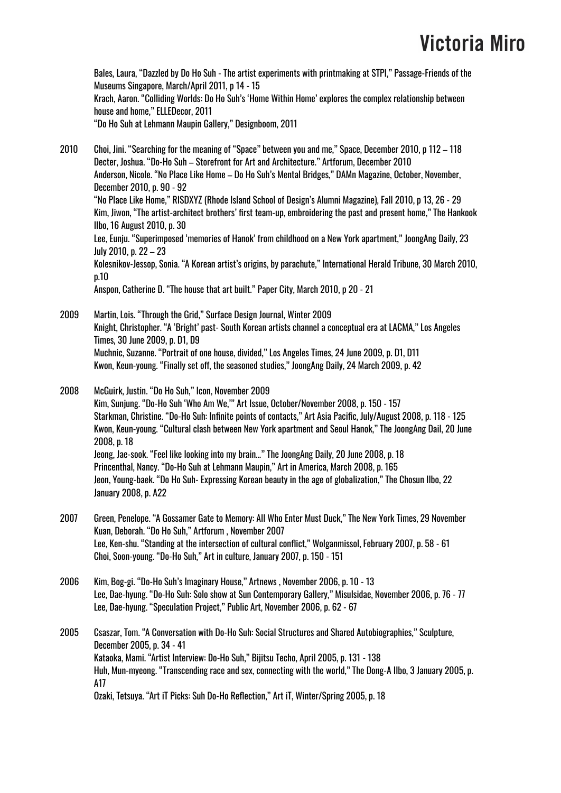Bales, Laura, "Dazzled by Do Ho Suh - The artist experiments with printmaking at STPI," Passage-Friends of the Museums Singapore, March/April 2011, p 14 - 15 Krach, Aaron. "Colliding Worlds: Do Ho Suh's 'Home Within Home' explores the complex relationship between house and home," ELLEDecor, 2011 "Do Ho Suh at Lehmann Maupin Gallery," Designboom, 2011

2010 Choi, Jini. "Searching for the meaning of "Space" between you and me," Space, December 2010, p 112 – 118 Decter, Joshua. "Do-Ho Suh – Storefront for Art and Architecture." Artforum, December 2010

Anderson, Nicole. "No Place Like Home – Do Ho Suh's Mental Bridges," DAMn Magazine, October, November, December 2010, p. 90 - 92 "No Place Like Home," RISDXYZ (Rhode Island School of Design's Alumni Magazine), Fall 2010, p 13, 26 - 29 Kim, Jiwon, "The artist-architect brothers' first team-up, embroidering the past and present home," The Hankook Ilbo, 16 August 2010, p. 30

Lee, Eunju. "Superimposed 'memories of Hanok' from childhood on a New York apartment," JoongAng Daily, 23 July 2010, p. 22 – 23

Kolesnikov-Jessop, Sonia. "A Korean artist's origins, by parachute," International Herald Tribune, 30 March 2010, p.10

Anspon, Catherine D. "The house that art built." Paper City, March 2010, p 20 - 21

2009 Martin, Lois. "Through the Grid," Surface Design Journal, Winter 2009 Knight, Christopher. "A 'Bright' past- South Korean artists channel a conceptual era at LACMA," Los Angeles Times, 30 June 2009, p. D1, D9 Muchnic, Suzanne. "Portrait of one house, divided," Los Angeles Times, 24 June 2009, p. D1, D11 Kwon, Keun-young. "Finally set off, the seasoned studies," JoongAng Daily, 24 March 2009, p. 42

2008 McGuirk, Justin. "Do Ho Suh," Icon, November 2009 Kim, Sunjung. "Do-Ho Suh 'Who Am We,'" Art Issue, October/November 2008, p. 150 - 157 Starkman, Christine. "Do-Ho Suh: Infinite points of contacts," Art Asia Pacific, July/August 2008, p. 118 - 125 Kwon, Keun-young. "Cultural clash between New York apartment and Seoul Hanok," The JoongAng Dail, 20 June 2008, p. 18 Jeong, Jae-sook. "Feel like looking into my brain…" The JoongAng Daily, 20 June 2008, p. 18 Princenthal, Nancy. "Do-Ho Suh at Lehmann Maupin," Art in America, March 2008, p. 165 Jeon, Young-baek. "Do Ho Suh- Expressing Korean beauty in the age of globalization," The Chosun Ilbo, 22 January 2008, p. A22

- 2007 Green, Penelope. "A Gossamer Gate to Memory: All Who Enter Must Duck," The New York Times, 29 November Kuan, Deborah. "Do Ho Suh," Artforum , November 2007 Lee, Ken-shu. "Standing at the intersection of cultural conflict," Wolganmissol, February 2007, p. 58 - 61 Choi, Soon-young. "Do-Ho Suh," Art in culture, January 2007, p. 150 - 151
- 2006 Kim, Bog-gi. "Do-Ho Suh's Imaginary House," Artnews , November 2006, p. 10 13 Lee, Dae-hyung. "Do-Ho Suh: Solo show at Sun Contemporary Gallery," Misulsidae, November 2006, p. 76 - 77 Lee, Dae-hyung. "Speculation Project," Public Art, November 2006, p. 62 - 67

2005 Csaszar, Tom. "A Conversation with Do-Ho Suh: Social Structures and Shared Autobiographies," Sculpture, December 2005, p. 34 - 41 Kataoka, Mami. "Artist Interview: Do-Ho Suh," Bijitsu Techo, April 2005, p. 131 - 138 Huh, Mun-myeong. "Transcending race and sex, connecting with the world," The Dong-A Ilbo, 3 January 2005, p. A17 Ozaki, Tetsuya. "Art iT Picks: Suh Do-Ho Reflection," Art iT, Winter/Spring 2005, p. 18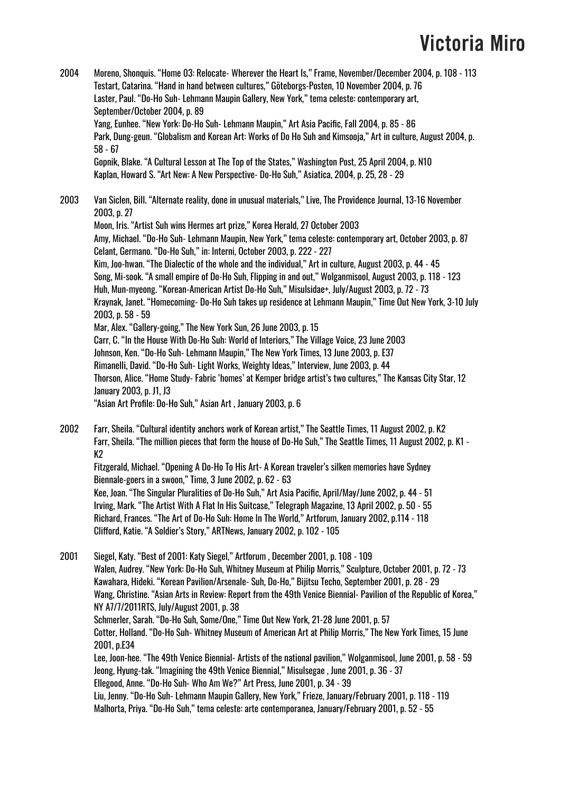- 2004 Moreno, Shonquis. "Home 03: Relocate- Wherever the Heart Is," Frame, November/December 2004, p. 108 113 Testart, Catarina. "Hand in hand between cultures," Göteborgs-Posten, 10 November 2004, p. 76 Laster, Paul. "Do-Ho Suh- Lehmann Maupin Gallery, New York," tema celeste: contemporary art, September/October 2004, p. 89 Yang, Eunhee. "New York: Do-Ho Suh- Lehmann Maupin," Art Asia Pacific, Fall 2004, p. 85 - 86 Park, Dung-geun. "Globalism and Korean Art: Works of Do Ho Suh and Kimsooja," Art in culture, August 2004, p. 58 - 67 Gopnik, Blake. "A Cultural Lesson at The Top of the States," Washington Post, 25 April 2004, p. N10 Kaplan, Howard S. "Art New: A New Perspective- Do-Ho Suh," Asiatica, 2004, p. 25, 28 - 29 2003 Van Siclen, Bill. "Alternate reality, done in unusual materials," Live, The Providence Journal, 13-16 November 2003, p. 27 Moon, Iris. "Artist Suh wins Hermes art prize," Korea Herald, 27 October 2003 Amy, Michael. "Do-Ho Suh- Lehmann Maupin, New York," tema celeste: contemporary art, October 2003, p. 87 Celant, Germano. "Do-Ho Suh," in: Interni, October 2003, p. 222 - 227 Kim, Joo-hwan. "The Dialectic of the whole and the individual," Art in culture, August 2003, p. 44 - 45 Song, Mi-sook. "A small empire of Do-Ho Suh, Flipping in and out," Wolganmisool, August 2003, p. 118 - 123 Huh, Mun-myeong. "Korean-American Artist Do-Ho Suh," Misulsidae+, July/August 2003, p. 72 - 73 Kraynak, Janet. "Homecoming- Do-Ho Suh takes up residence at Lehmann Maupin," Time Out New York, 3-10 July 2003, p. 58 - 59 Mar, Alex. "Gallery-going," The New York Sun, 26 June 2003, p. 15 Carr, C. "In the House With Do-Ho Suh: World of Interiors," The Village Voice, 23 June 2003 Johnson, Ken. "Do-Ho Suh- Lehmann Maupin," The New York Times, 13 June 2003, p. E37 Rimanelli, David. "Do-Ho Suh- Light Works, Weighty Ideas," Interview, June 2003, p. 44 Thorson, Alice. "Home Study- Fabric 'homes' at Kemper bridge artist's two cultures," The Kansas City Star, 12 January 2003, p. J1, J3 "Asian Art Profile: Do-Ho Suh," Asian Art , January 2003, p. 6
- 2002 Farr, Sheila. "Cultural identity anchors work of Korean artist," The Seattle Times, 11 August 2002, p. K2 Farr, Sheila. "The million pieces that form the house of Do-Ho Suh," The Seattle Times, 11 August 2002, p. K1 - K2

Fitzgerald, Michael. "Opening A Do-Ho To His Art- A Korean traveler's silken memories have Sydney Biennale-goers in a swoon," Time, 3 June 2002, p. 62 - 63 Kee, Joan. "The Singular Pluralities of Do-Ho Suh," Art Asia Pacific, April/May/June 2002, p. 44 - 51 Irving, Mark. "The Artist With A Flat In His Suitcase," Telegraph Magazine, 13 April 2002, p. 50 - 55 Richard, Frances. "The Art of Do-Ho Suh: Home In The World," Artforum, January 2002, p.114 - 118 Clifford, Katie. "A Soldier's Story," ARTNews, January 2002, p. 102 - 105

2001 Siegel, Katy. "Best of 2001: Katy Siegel," Artforum , December 2001, p. 108 - 109 Walen, Audrey. "New York: Do-Ho Suh, Whitney Museum at Philip Morris," Sculpture, October 2001, p. 72 - 73 Kawahara, Hideki. "Korean Pavilion/Arsenale- Suh, Do-Ho," Bijitsu Techo, September 2001, p. 28 - 29 Wang, Christine. "Asian Arts in Review: Report from the 49th Venice Biennial- Pavilion of the Republic of Korea," NY A7/7/2011RTS, July/August 2001, p. 38 Schmerler, Sarah. "Do-Ho Suh, Some/One," Time Out New York, 21-28 June 2001, p. 57 Cotter, Holland. "Do-Ho Suh- Whitney Museum of American Art at Philip Morris," The New York Times, 15 June 2001, p.E34 Lee, Joon-hee. "The 49th Venice Biennial- Artists of the national pavilion," Wolganmisool, June 2001, p. 58 - 59 Jeong, Hyung-tak. "Imagining the 49th Venice Biennial," Misulsegae , June 2001, p. 36 - 37 Ellegood, Anne. "Do-Ho Suh- Who Am We?" Art Press, June 2001, p. 34 - 39 Liu, Jenny. "Do-Ho Suh- Lehmann Maupin Gallery, New York," Frieze, January/February 2001, p. 118 - 119 Malhorta, Priya. "Do-Ho Suh," tema celeste: arte contemporanea, January/February 2001, p. 52 - 55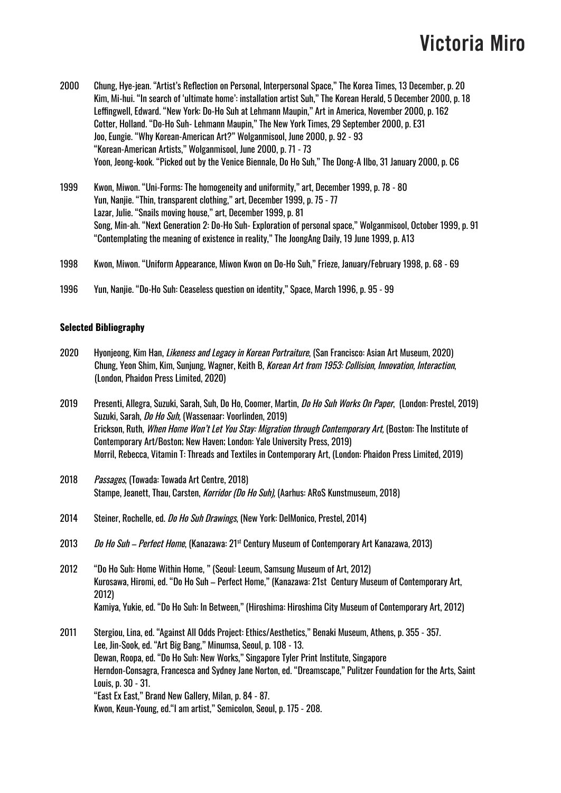- 2000 Chung, Hye-jean. "Artist's Reflection on Personal, Interpersonal Space," The Korea Times, 13 December, p. 20 Kim, Mi-hui. "In search of 'ultimate home': installation artist Suh," The Korean Herald, 5 December 2000, p. 18 Leffingwell, Edward. "New York: Do-Ho Suh at Lehmann Maupin," Art in America, November 2000, p. 162 Cotter, Holland. "Do-Ho Suh- Lehmann Maupin," The New York Times, 29 September 2000, p. E31 Joo, Eungie. "Why Korean-American Art?" Wolganmisool, June 2000, p. 92 - 93 "Korean-American Artists," Wolganmisool, June 2000, p. 71 - 73 Yoon, Jeong-kook. "Picked out by the Venice Biennale, Do Ho Suh," The Dong-A Ilbo, 31 January 2000, p. C6
- 1999 Kwon, Miwon. "Uni-Forms: The homogeneity and uniformity," art, December 1999, p. 78 80 Yun, Nanjie. "Thin, transparent clothing," art, December 1999, p. 75 - 77 Lazar, Julie. "Snails moving house," art, December 1999, p. 81 Song, Min-ah. "Next Generation 2: Do-Ho Suh- Exploration of personal space," Wolganmisool, October 1999, p. 91 "Contemplating the meaning of existence in reality," The JoongAng Daily, 19 June 1999, p. A13
- 1998 Kwon, Miwon. "Uniform Appearance, Miwon Kwon on Do-Ho Suh," Frieze, January/February 1998, p. 68 69
- 1996 Yun, Nanjie. "Do-Ho Suh: Ceaseless question on identity," Space, March 1996, p. 95 99

#### **Selected Bibliography**

- 2020 Hyonjeong, Kim Han, *Likeness and Legacy in Korean Portraiture*, (San Francisco: Asian Art Museum, 2020) Chung, Yeon Shim, Kim, Sunjung, Wagner, Keith B, Korean Art from 1953: Collision, Innovation, Interaction, (London, Phaidon Press Limited, 2020)
- 2019 Presenti, Allegra, Suzuki, Sarah, Suh, Do Ho, Coomer, Martin, *Do Ho Suh Works On Paper*, (London: Prestel, 2019) Suzuki, Sarah, Do Ho Suh, (Wassenaar: Voorlinden, 2019) Erickson, Ruth, When Home Won't Let You Stay: Migration through Contemporary Art, (Boston: The Institute of Contemporary Art/Boston; New Haven; London: Yale University Press, 2019) Morril, Rebecca, Vitamin T: Threads and Textiles in Contemporary Art, (London: Phaidon Press Limited, 2019)
- 2018 Passages, (Towada: Towada Art Centre, 2018) Stampe, Jeanett, Thau, Carsten, Korridor (Do Ho Suh), (Aarhus: ARoS Kunstmuseum, 2018)
- 2014 Steiner, Rochelle, ed. *Do Ho Suh Drawings*, (New York: DelMonico, Prestel, 2014)
- 2013 *Do Ho Suh Perfect Home*, (Kanazawa: 21<sup>st</sup> Century Museum of Contemporary Art Kanazawa, 2013)
- 2012 "Do Ho Suh: Home Within Home, " (Seoul: Leeum, Samsung Museum of Art, 2012) Kurosawa, Hiromi, ed. "Do Ho Suh – Perfect Home," (Kanazawa: 21st Century Museum of Contemporary Art, 2012) Kamiya, Yukie, ed. "Do Ho Suh: In Between," (Hiroshima: Hiroshima City Museum of Contemporary Art, 2012)
- 2011 Stergiou, Lina, ed. "Against All Odds Project: Ethics/Aesthetics," Benaki Museum, Athens, p. 355 357. Lee, Jin-Sook, ed. "Art Big Bang," Minumsa, Seoul, p. 108 - 13. Dewan, Roopa, ed. "Do Ho Suh: New Works," Singapore Tyler Print Institute, Singapore Herndon-Consagra, Francesca and Sydney Jane Norton, ed. "Dreamscape," Pulitzer Foundation for the Arts, Saint Louis, p. 30 - 31. "East Ex East," Brand New Gallery, Milan, p. 84 - 87. Kwon, Keun-Young, ed."I am artist," Semicolon, Seoul, p. 175 - 208.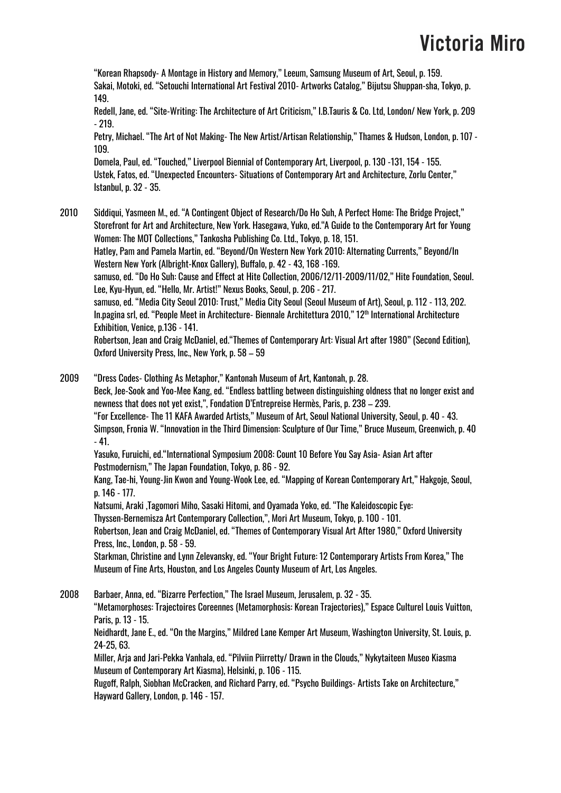"Korean Rhapsody- A Montage in History and Memory," Leeum, Samsung Museum of Art, Seoul, p. 159. Sakai, Motoki, ed. "Setouchi International Art Festival 2010- Artworks Catalog," Bijutsu Shuppan-sha, Tokyo, p. 149.

Redell, Jane, ed. "Site-Writing: The Architecture of Art Criticism," I.B.Tauris & Co. Ltd, London/ New York, p. 209 - 219.

Petry, Michael. "The Art of Not Making- The New Artist/Artisan Relationship," Thames & Hudson, London, p. 107 - 109.

Domela, Paul, ed. "Touched," Liverpool Biennial of Contemporary Art, Liverpool, p. 130 -131, 154 - 155. Ustek, Fatos, ed. "Unexpected Encounters- Situations of Contemporary Art and Architecture, Zorlu Center," Istanbul, p. 32 - 35.

- 2010 Siddiqui, Yasmeen M., ed. "A Contingent Object of Research/Do Ho Suh, A Perfect Home: The Bridge Project," Storefront for Art and Architecture, New York. Hasegawa, Yuko, ed."A Guide to the Contemporary Art for Young Women: The MOT Collections," Tankosha Publishing Co. Ltd., Tokyo, p. 18, 151. Hatley, Pam and Pamela Martin, ed. "Beyond/On Western New York 2010: Alternating Currents," Beyond/In Western New York (Albright-Knox Gallery), Buffalo, p. 42 - 43, 168 -169. samuso, ed. "Do Ho Suh: Cause and Effect at Hite Collection, 2006/12/11-2009/11/02," Hite Foundation, Seoul. Lee, Kyu-Hyun, ed. "Hello, Mr. Artist!" Nexus Books, Seoul, p. 206 - 217. samuso, ed. "Media City Seoul 2010: Trust," Media City Seoul (Seoul Museum of Art), Seoul, p. 112 - 113, 202. In.pagina srl, ed. "People Meet in Architecture- Biennale Architettura 2010," 12™ International Architecture Exhibition, Venice, p.136 - 141. Robertson, Jean and Craig McDaniel, ed."Themes of Contemporary Art: Visual Art after 1980" (Second Edition), Oxford University Press, Inc., New York, p. 58 – 59
- 2009 "Dress Codes- Clothing As Metaphor," Kantonah Museum of Art, Kantonah, p. 28. Beck, Jee-Sook and Yoo-Mee Kang, ed. "Endless battling between distinguishing oldness that no longer exist and newness that does not yet exist,", Fondation D'Entrepreise Hermès, Paris, p. 238 – 239. "For Excellence- The 11 KAFA Awarded Artists," Museum of Art, Seoul National University, Seoul, p. 40 - 43. Simpson, Fronia W. "Innovation in the Third Dimension: Sculpture of Our Time," Bruce Museum, Greenwich, p. 40 - 41. Yasuko, Furuichi, ed."International Symposium 2008: Count 10 Before You Say Asia- Asian Art after Postmodernism," The Japan Foundation, Tokyo, p. 86 - 92. Kang, Tae-hi, Young-Jin Kwon and Young-Wook Lee, ed. "Mapping of Korean Contemporary Art," Hakgoje, Seoul, p. 146 - 177.

Natsumi, Araki ,Tagomori Miho, Sasaki Hitomi, and Oyamada Yoko, ed. "The Kaleidoscopic Eye:

Thyssen-Bernemisza Art Contemporary Collection,", Mori Art Museum, Tokyo, p. 100 - 101.

Robertson, Jean and Craig McDaniel, ed. "Themes of Contemporary Visual Art After 1980," Oxford University Press, Inc., London, p. 58 - 59.

Starkman, Christine and Lynn Zelevansky, ed. "Your Bright Future: 12 Contemporary Artists From Korea," The Museum of Fine Arts, Houston, and Los Angeles County Museum of Art, Los Angeles.

2008 Barbaer, Anna, ed. "Bizarre Perfection," The Israel Museum, Jerusalem, p. 32 - 35. "Metamorphoses: Trajectoires Coreennes (Metamorphosis: Korean Trajectories)," Espace Culturel Louis Vuitton, Paris, p. 13 - 15. Neidhardt, Jane E., ed. "On the Margins," Mildred Lane Kemper Art Museum, Washington University, St. Louis, p. 24-25, 63.

Miller, Arja and Jari-Pekka Vanhala, ed. "Pilviin Piirretty/ Drawn in the Clouds," Nykytaiteen Museo Kiasma Museum of Contemporary Art Kiasma), Helsinki, p. 106 - 115.

Rugoff, Ralph, Siobhan McCracken, and Richard Parry, ed. "Psycho Buildings- Artists Take on Architecture," Hayward Gallery, London, p. 146 - 157.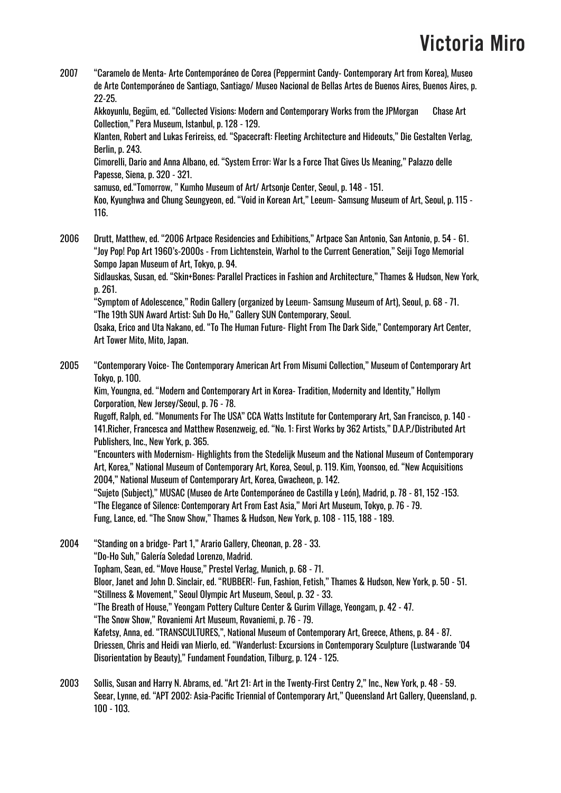2007 "Caramelo de Menta- Arte Contemporáneo de Corea (Peppermint Candy- Contemporary Art from Korea), Museo de Arte Contemporáneo de Santiago, Santiago/ Museo Nacional de Bellas Artes de Buenos Aires, Buenos Aires, p. 22-25.

Akkoyunlu, Begüm, ed. "Collected Visions: Modern and Contemporary Works from the JPMorgan Chase Art Collection," Pera Museum, Istanbul, p. 128 - 129.

Klanten, Robert and Lukas Ferireiss, ed. "Spacecraft: Fleeting Architecture and Hideouts," Die Gestalten Verlag, Berlin, p. 243.

Cimorelli, Dario and Anna Albano, ed. "System Error: War Is a Force That Gives Us Meaning," Palazzo delle Papesse, Siena, p. 320 - 321.

samuso, ed."Tomorrow, " Kumho Museum of Art/ Artsonje Center, Seoul, p. 148 - 151.

Koo, Kyunghwa and Chung Seungyeon, ed. "Void in Korean Art," Leeum- Samsung Museum of Art, Seoul, p. 115 - 116.

2006 Drutt, Matthew, ed. "2006 Artpace Residencies and Exhibitions," Artpace San Antonio, San Antonio, p. 54 - 61. "Joy Pop! Pop Art 1960's-2000s - From Lichtenstein, Warhol to the Current Generation," Seiji Togo Memorial Sompo Japan Museum of Art, Tokyo, p. 94.

Sidlauskas, Susan, ed. "Skin+Bones: Parallel Practices in Fashion and Architecture," Thames & Hudson, New York, p. 261.

"Symptom of Adolescence," Rodin Gallery (organized by Leeum- Samsung Museum of Art), Seoul, p. 68 - 71. "The 19th SUN Award Artist: Suh Do Ho," Gallery SUN Contemporary, Seoul.

Osaka, Erico and Uta Nakano, ed. "To The Human Future- Flight From The Dark Side," Contemporary Art Center, Art Tower Mito, Mito, Japan.

2005 "Contemporary Voice- The Contemporary American Art From Misumi Collection," Museum of Contemporary Art Tokyo, p. 100.

Kim, Youngna, ed. "Modern and Contemporary Art in Korea- Tradition, Modernity and Identity," Hollym Corporation, New Jersey/Seoul, p. 76 - 78.

Rugoff, Ralph, ed. "Monuments For The USA" CCA Watts Institute for Contemporary Art, San Francisco, p. 140 - 141.Richer, Francesca and Matthew Rosenzweig, ed. "No. 1: First Works by 362 Artists," D.A.P./Distributed Art Publishers, Inc., New York, p. 365.

"Encounters with Modernism- Highlights from the Stedelijk Museum and the National Museum of Contemporary Art, Korea," National Museum of Contemporary Art, Korea, Seoul, p. 119. Kim, Yoonsoo, ed. "New Acquisitions 2004," National Museum of Contemporary Art, Korea, Gwacheon, p. 142.

"Sujeto (Subject)," MUSAC (Museo de Arte Contemporáneo de Castilla y León), Madrid, p. 78 - 81, 152 -153. "The Elegance of Silence: Contemporary Art From East Asia," Mori Art Museum, Tokyo, p. 76 - 79. Fung, Lance, ed. "The Snow Show," Thames & Hudson, New York, p. 108 - 115, 188 - 189.

2004 "Standing on a bridge- Part 1," Arario Gallery, Cheonan, p. 28 - 33. "Do-Ho Suh," Galería Soledad Lorenzo, Madrid. Topham, Sean, ed. "Move House," Prestel Verlag, Munich, p. 68 - 71. Bloor, Janet and John D. Sinclair, ed. "RUBBER!- Fun, Fashion, Fetish," Thames & Hudson, New York, p. 50 - 51. "Stillness & Movement," Seoul Olympic Art Museum, Seoul, p. 32 - 33. "The Breath of House," Yeongam Pottery Culture Center & Gurim Village, Yeongam, p. 42 - 47. "The Snow Show," Rovaniemi Art Museum, Rovaniemi, p. 76 - 79. Kafetsy, Anna, ed. "TRANSCULTURES,", National Museum of Contemporary Art, Greece, Athens, p. 84 - 87. Driessen, Chris and Heidi van Mierlo, ed. "Wanderlust: Excursions in Contemporary Sculpture (Lustwarande '04 Disorientation by Beauty)," Fundament Foundation, Tilburg, p. 124 - 125.

2003 Sollis, Susan and Harry N. Abrams, ed. "Art 21: Art in the Twenty-First Centry 2," Inc., New York, p. 48 - 59. Seear, Lynne, ed. "APT 2002: Asia-Pacific Triennial of Contemporary Art," Queensland Art Gallery, Queensland, p. 100 - 103.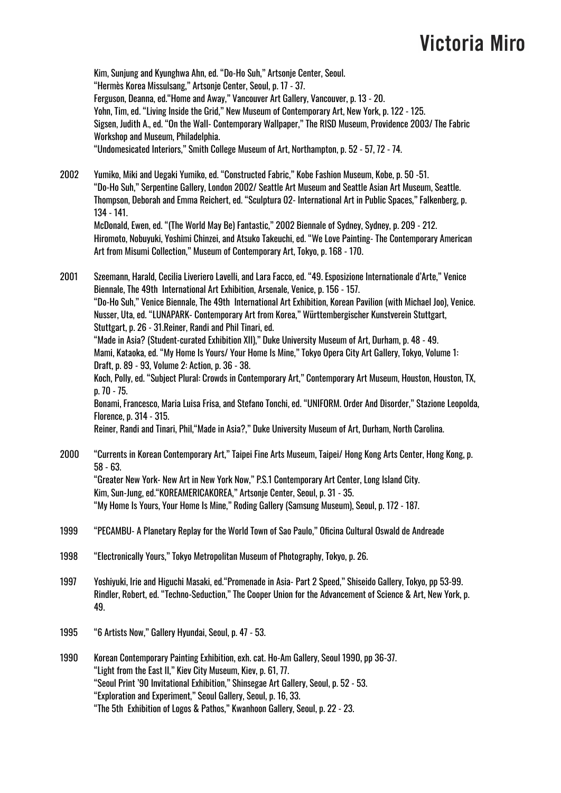Kim, Sunjung and Kyunghwa Ahn, ed. "Do-Ho Suh," Artsonje Center, Seoul. "Hermès Korea Missulsang," Artsonje Center, Seoul, p. 17 - 37. Ferguson, Deanna, ed."Home and Away," Vancouver Art Gallery, Vancouver, p. 13 - 20. Yohn, Tim, ed. "Living Inside the Grid," New Museum of Contemporary Art, New York, p. 122 - 125. Sigsen, Judith A., ed. "On the Wall- Contemporary Wallpaper," The RISD Museum, Providence 2003/ The Fabric Workshop and Museum, Philadelphia. "Undomesicated Interiors," Smith College Museum of Art, Northampton, p. 52 - 57, 72 - 74.

2002 Yumiko, Miki and Uegaki Yumiko, ed. "Constructed Fabric," Kobe Fashion Museum, Kobe, p. 50 -51. "Do-Ho Suh," Serpentine Gallery, London 2002/ Seattle Art Museum and Seattle Asian Art Museum, Seattle. Thompson, Deborah and Emma Reichert, ed. "Sculptura 02- International Art in Public Spaces," Falkenberg, p. 134 - 141. McDonald, Ewen, ed. "(The World May Be) Fantastic," 2002 Biennale of Sydney, Sydney, p. 209 - 212. Hiromoto, Nobuyuki, Yoshimi Chinzei, and Atsuko Takeuchi, ed. "We Love Painting- The Contemporary American

Art from Misumi Collection," Museum of Contemporary Art, Tokyo, p. 168 - 170.

2001 Szeemann, Harald, Cecilia Liveriero Lavelli, and Lara Facco, ed. "49. Esposizione Internationale d'Arte," Venice Biennale, The 49th International Art Exhibition, Arsenale, Venice, p. 156 - 157. "Do-Ho Suh," Venice Biennale, The 49th International Art Exhibition, Korean Pavilion (with Michael Joo), Venice. Nusser, Uta, ed. "LUNAPARK- Contemporary Art from Korea," Württembergischer Kunstverein Stuttgart, Stuttgart, p. 26 - 31.Reiner, Randi and Phil Tinari, ed. "Made in Asia? (Student-curated Exhibition XII)," Duke University Museum of Art, Durham, p. 48 - 49. Mami, Kataoka, ed. "My Home Is Yours/ Your Home Is Mine," Tokyo Opera City Art Gallery, Tokyo, Volume 1: Draft, p. 89 - 93, Volume 2: Action, p. 36 - 38. Koch, Polly, ed. "Subject Plural: Crowds in Contemporary Art," Contemporary Art Museum, Houston, Houston, TX, p. 70 - 75. Bonami, Francesco, Maria Luisa Frisa, and Stefano Tonchi, ed. "UNIFORM. Order And Disorder," Stazione Leopolda, Florence, p. 314 - 315. Reiner, Randi and Tinari, Phil,"Made in Asia?," Duke University Museum of Art, Durham, North Carolina. 2000 "Currents in Korean Contemporary Art," Taipei Fine Arts Museum, Taipei/ Hong Kong Arts Center, Hong Kong, p. 58 - 63.

"Greater New York- New Art in New York Now," P.S.1 Contemporary Art Center, Long Island City. Kim, Sun-Jung, ed."KOREAMERICAKOREA," Artsonje Center, Seoul, p. 31 - 35. "My Home Is Yours, Your Home Is Mine," Roding Gallery (Samsung Museum), Seoul, p. 172 - 187.

- 1999 "PECAMBU- A Planetary Replay for the World Town of Sao Paulo," Oficina Cultural Oswald de Andreade
- 1998 "Electronically Yours," Tokyo Metropolitan Museum of Photography, Tokyo, p. 26.
- 1997 Yoshiyuki, Irie and Higuchi Masaki, ed."Promenade in Asia- Part 2 Speed," Shiseido Gallery, Tokyo, pp 53-99. Rindler, Robert, ed. "Techno-Seduction," The Cooper Union for the Advancement of Science & Art, New York, p. 49.
- 1995 "6 Artists Now," Gallery Hyundai, Seoul, p. 47 53.

1990 Korean Contemporary Painting Exhibition, exh. cat. Ho-Am Gallery, Seoul 1990, pp 36-37. "Light from the East II," Kiev City Museum, Kiev, p. 61, 77. "Seoul Print '90 Invitational Exhibition," Shinsegae Art Gallery, Seoul, p. 52 - 53. "Exploration and Experiment," Seoul Gallery, Seoul, p. 16, 33. "The 5th Exhibition of Logos & Pathos," Kwanhoon Gallery, Seoul, p. 22 - 23.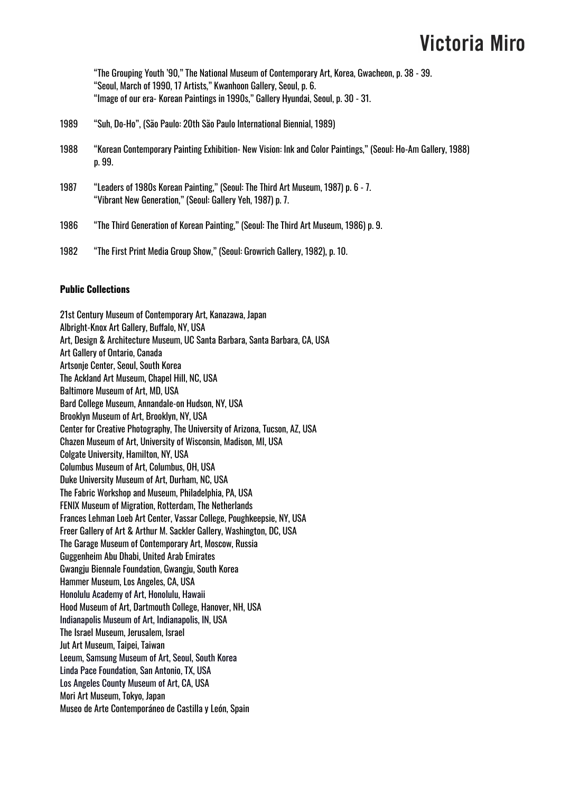"The Grouping Youth '90," The National Museum of Contemporary Art, Korea, Gwacheon, p. 38 - 39. "Seoul, March of 1990, 17 Artists," Kwanhoon Gallery, Seoul, p. 6. "Image of our era- Korean Paintings in 1990s," Gallery Hyundai, Seoul, p. 30 - 31.

- 1989 "Suh, Do-Ho", (São Paulo: 20th São Paulo International Biennial, 1989)
- 1988 "Korean Contemporary Painting Exhibition- New Vision: Ink and Color Paintings," (Seoul: Ho-Am Gallery, 1988) p. 99.
- 1987 "Leaders of 1980s Korean Painting," (Seoul: The Third Art Museum, 1987) p. 6 7. "Vibrant New Generation," (Seoul: Gallery Yeh, 1987) p. 7.
- 1986 "The Third Generation of Korean Painting," (Seoul: The Third Art Museum, 1986) p. 9.
- 1982 "The First Print Media Group Show," (Seoul: Growrich Gallery, 1982), p. 10.

#### **Public Collections**

21st Century Museum of Contemporary Art, Kanazawa, Japan Albright-Knox Art Gallery, Buffalo, NY, USA Art, Design & Architecture Museum, UC Santa Barbara, Santa Barbara, CA, USA Art Gallery of Ontario, Canada Artsonje Center, Seoul, South Korea The Ackland Art Museum, Chapel Hill, NC, USA Baltimore Museum of Art, MD, USA Bard College Museum, Annandale-on Hudson, NY, USA Brooklyn Museum of Art, Brooklyn, NY, USA Center for Creative Photography, The University of Arizona, Tucson, AZ, USA Chazen Museum of Art, University of Wisconsin, Madison, MI, USA Colgate University, Hamilton, NY, USA Columbus Museum of Art, Columbus, OH, USA Duke University Museum of Art, Durham, NC, USA The Fabric Workshop and Museum, Philadelphia, PA, USA FENIX Museum of Migration, Rotterdam, The Netherlands Frances Lehman Loeb Art Center, Vassar College, Poughkeepsie, NY, USA Freer Gallery of Art & Arthur M. Sackler Gallery, Washington, DC, USA The Garage Museum of Contemporary Art, Moscow, Russia Guggenheim Abu Dhabi, United Arab Emirates Gwangju Biennale Foundation, Gwangju, South Korea Hammer Museum, Los Angeles, CA, USA Honolulu Academy of Art, Honolulu, Hawaii Hood Museum of Art, Dartmouth College, Hanover, NH, USA Indianapolis Museum of Art, Indianapolis, IN, USA The Israel Museum, Jerusalem, Israel Jut Art Museum, Taipei, Taiwan Leeum, Samsung Museum of Art, Seoul, South Korea Linda Pace Foundation, San Antonio, TX, USA Los Angeles County Museum of Art, CA, USA Mori Art Museum, Tokyo, Japan Museo de Arte Contemporáneo de Castilla y León, Spain